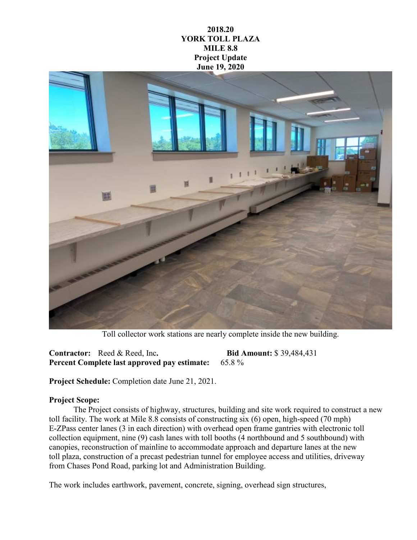## **2018.20 YORK TOLL PLAZA MILE 8.8 Project Update June 19, 2020**



Toll collector work stations are nearly complete inside the new building.

**Contractor:** Reed & Reed, Inc**. Bid Amount:** \$ 39,484,431 **Percent Complete last approved pay estimate:** 65.8 %

**Project Schedule:** Completion date June 21, 2021.

## **Project Scope:**

The Project consists of highway, structures, building and site work required to construct a new toll facility. The work at Mile 8.8 consists of constructing six (6) open, high-speed (70 mph) E-ZPass center lanes (3 in each direction) with overhead open frame gantries with electronic toll collection equipment, nine (9) cash lanes with toll booths (4 northbound and 5 southbound) with canopies, reconstruction of mainline to accommodate approach and departure lanes at the new toll plaza, construction of a precast pedestrian tunnel for employee access and utilities, driveway from Chases Pond Road, parking lot and Administration Building.

The work includes earthwork, pavement, concrete, signing, overhead sign structures,